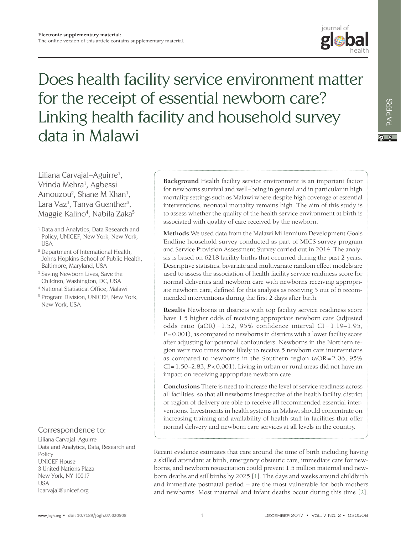

# Does health facility service environment matter for the receipt of essential newborn care? Linking health facility and household survey data in Malawi

Liliana Carvajal–Aguirre<sup>1</sup>, Vrinda Mehra<sup>1</sup>, Agbessi Amouzou<sup>2</sup>, Shane M Khan<sup>1</sup>, Lara Vaz<sup>3</sup>, Tanya Guenther<sup>3</sup>, Maggie Kalino<sup>4</sup>, Nabila Zaka<sup>5</sup>

- <sup>1</sup> Data and Analytics, Data Research and Policy, UNICEF, New York, New York, USA
- <sup>2</sup> Department of International Health, Johns Hopkins School of Public Health, Baltimore, Maryland, USA
- <sup>3</sup> Saving Newborn Lives, Save the Children, Washington, DC, USA
- <sup>4</sup> National Statistical Office, Malawi
- <sup>5</sup> Program Division, UNICEF, New York, New York, USA

## Correspondence to:

Liliana Carvajal–Aguirre Data and Analytics, Data, Research and Policy UNICEF House 3 United Nations Plaza New York, NY 10017 USA lcarvajal@unicef.org

**Background** Health facility service environment is an important factor for newborns survival and well–being in general and in particular in high mortality settings such as Malawi where despite high coverage of essential interventions, neonatal mortality remains high. The aim of this study is to assess whether the quality of the health service environment at birth is associated with quality of care received by the newborn.

**Methods** We used data from the Malawi Millennium Development Goals Endline household survey conducted as part of MICS survey program and Service Provision Assessment Survey carried out in 2014. The analysis is based on 6218 facility births that occurred during the past 2 years. Descriptive statistics, bivariate and multivariate random effect models are used to assess the association of health facility service readiness score for normal deliveries and newborn care with newborns receiving appropriate newborn care, defined for this analysis as receiving 5 out of 6 recommended interventions during the first 2 days after birth.

**Results** Newborns in districts with top facility service readiness score have 1.5 higher odds of receiving appropriate newborn care (adjusted odds ratio  $(aOR) = 1.52$ , 95% confidence interval  $CI = 1.19 - 1.95$ , *P*=0.001), as compared to newborns in districts with a lower facility score after adjusting for potential confounders. Newborns in the Northern region were two times more likely to receive 5 newborn care interventions as compared to newborns in the Southern region (aOR= 2.06, 95% CI=1.50–2.83, *P*<0.001). Living in urban or rural areas did not have an impact on receiving appropriate newborn care.

**Conclusions** There is need to increase the level of service readiness across all facilities, so that all newborns irrespective of the health facility, district or region of delivery are able to receive all recommended essential interventions. Investments in health systems in Malawi should concentrate on increasing training and availability of health staff in facilities that offer normal delivery and newborn care services at all levels in the country.

Recent evidence estimates that care around the time of birth including having a skilled attendant at birth, emergency obstetric care, immediate care for newborns, and newborn resuscitation could prevent 1.5 million maternal and newborn deaths and stillbirths by 2025 [[1\]](#page-9-0). The days and weeks around childbirth and immediate postnatal period – are the most vulnerable for both mothers and newborns. Most maternal and infant deaths occur during this time [[2\]](#page-9-0).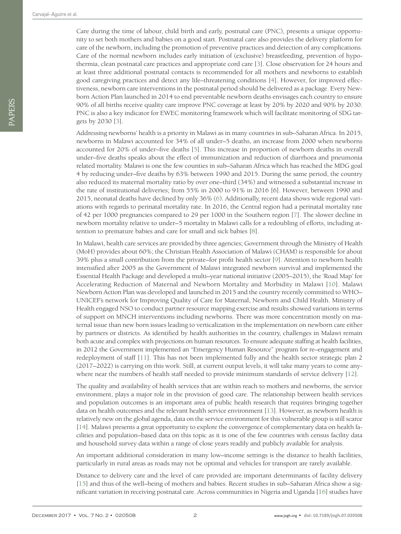Care during the time of labour, child birth and early, postnatal care (PNC), presents a unique opportunity to set both mothers and babies on a good start. Postnatal care also provides the delivery platform for care of the newborn, including the promotion of preventive practices and detection of any complications. Care of the normal newborn includes early initiation of (exclusive) breastfeeding, prevention of hypothermia, clean postnatal care practices and appropriate cord care [\[3](#page-9-1)]. Close observation for 24 hours and at least three additional postnatal contacts is recommended for all mothers and newborns to establish good caregiving practices and detect any life–threatening conditions [[4\]](#page-9-2). However, for improved effectiveness, newborn care interventions in the postnatal period should be delivered as a package. Every Newborn Action Plan launched in 2014 to end preventable newborn deaths envisages each country to ensure 90% of all births receive quality care improve PNC coverage at least by 20% by 2020 and 90% by 2030. PNC is also a key indicator for EWEC monitoring framework which will facilitate monitoring of SDG targets by 2030 [\[3](#page-9-1)].

Addressing newborns' health is a priority in Malawi as in many countries in sub–Saharan Africa. In 2015, newborns in Malawi accounted for 34% of all under–5 deaths, an increase from 2000 when newborns accounted for 20% of under–five deaths [[5](#page-9-3)]. This increase in proportion of newborn deaths in overall under–five deaths speaks about the effect of immunization and reduction of diarrhoea and pneumonia related mortality. Malawi is one the few counties in sub–Saharan Africa which has reached the MDG goal 4 by reducing under–five deaths by 63% between 1990 and 2015. During the same period, the country also reduced its maternal mortality ratio by over one–third (34%) and witnessed a substantial increase in the rate of institutional deliveries; from 55% in 2000 to 91% in 2016 [6]. However, between 1990 and 2015, neonatal deaths have declined by only 36% ([6](#page-9-4)). Additionally, recent data shows wide regional variations with regards to perinatal mortality rate. In 2016, the Central region had a perinatal mortality rate of 42 per 1000 pregnancies compared to 29 per 1000 in the Southern region [[7\]](#page-9-5). The slower decline in newborn mortality relative to under–5 mortality in Malawi calls for a redoubling of efforts, including attention to premature babies and care for small and sick babies [[8](#page-10-0)].

In Malawi, health care services are provided by three agencies; Government through the Ministry of Health (MoH) provides about 60%; the Christian Health Association of Malawi (CHAM) is responsible for about 39% plus a small contribution from the private–for profit health sector [\[9](#page-10-1)]. Attention to newborn health intensified after 2005 as the Government of Malawi integrated newborn survival and implemented the Essential Health Package and developed a multi–year national initiative (2005–2015), the 'Road Map' for Accelerating Reduction of Maternal and Newborn Mortality and Morbidity in Malawi [[10](#page-10-2)]. Malawi Newborn Action Plan was developed and launched in 2015 and the country recently committed to WHO– UNICEF's network for Improving Quality of Care for Maternal, Newborn and Child Health. Ministry of Health engaged NSO to conduct partner resource mapping exercise and results showed variations in terms of support on MNCH interventions including newborns. There was more concentration mostly on maternal issue than new born issues leading to verticalization in the implementation on newborn care either by partners or districts. As identified by health authorities in the country, challenges in Malawi remain both acute and complex with projections on human resources. To ensure adequate staffing at health facilities, in 2012 the Government implemented an "Emergency Human Resource" program for re–engagement and redeployment of staff [[11](#page-10-3)]. This has not been implemented fully and the health sector strategic plan 2 (2017–2022) is carrying on this work. Still, at current output levels, it will take many years to come anywhere near the numbers of health staff needed to provide minimum standards of service delivery [[12\]](#page-10-4).

The quality and availability of health services that are within reach to mothers and newborns, the service environment, plays a major role in the provision of good care. The relationship between health services and population outcomes is an important area of public health research that requires bringing together data on health outcomes and the relevant health service environment [\[13](#page-10-5)]. However, as newborn health is relatively new on the global agenda, data on the service environment for this vulnerable group is still scarce [[14](#page-10-6)]. Malawi presents a great opportunity to explore the convergence of complementary data on health facilities and population–based data on this topic as it is one of the few countries with census facility data and household survey data within a range of close years readily and publicly available for analysis.

An important additional consideration in many low–income settings is the distance to health facilities, particularly in rural areas as roads may not be optimal and vehicles for transport are rarely available.

Distance to delivery care and the level of care provided are important determinants of facility delivery [[15](#page-10-7)] and thus of the well–being of mothers and babies. Recent studies in sub–Saharan Africa show a significant variation in receiving postnatal care. Across communities in Nigeria and Uganda [[16\]](#page-10-8) studies have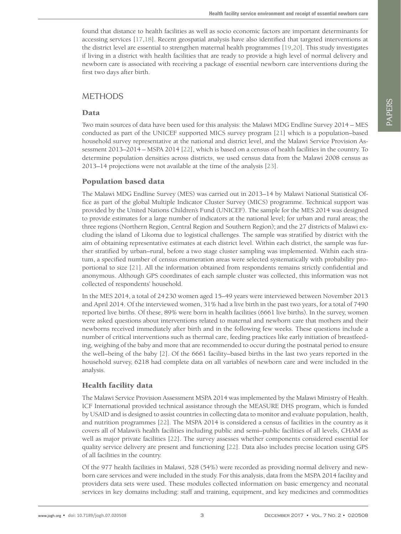found that distance to health facilities as well as socio economic factors are important determinants for accessing services [[17,](#page-10-9)[18](#page-10-10)]. Recent geospatial analysis have also identified that targeted interventions at the district level are essential to strengthen maternal health programmes [\[19](#page-10-11)[,20\]](#page-10-12). This study investigates if living in a district with health facilities that are ready to provide a high level of normal delivery and newborn care is associated with receiving a package of essential newborn care interventions during the first two days after birth.

## METHODS

### Data

Two main sources of data have been used for this analysis: the Malawi MDG Endline Survey 2014 – MES conducted as part of the UNICEF supported MICS survey program [[21\]](#page-10-13) which is a population–based household survey representative at the national and district level, and the Malawi Service Provision Assessment 2013–2014 – MSPA 2014 [[22\]](#page-10-14), which is based on a census of health facilities in the country. To determine population densities across districts, we used census data from the Malawi 2008 census as 2013–14 projections were not available at the time of the analysis [[23](#page-10-15)].

## Population based data

The Malawi MDG Endline Survey (MES) was carried out in 2013–14 by Malawi National Statistical Office as part of the global Multiple Indicator Cluster Survey (MICS) programme. Technical support was provided by the United Nations Children's Fund (UNICEF). The sample for the MES 2014 was designed to provide estimates for a large number of indicators at the national level; for urban and rural areas; the three regions (Northern Region, Central Region and Southern Region); and the 27 districts of Malawi excluding the island of Likoma due to logistical challenges. The sample was stratified by district with the aim of obtaining representative estimates at each district level. Within each district, the sample was further stratified by urban–rural, before a two stage cluster sampling was implemented. Within each stratum, a specified number of census enumeration areas were selected systematically with probability proportional to size [[21](#page-10-13)]. All the information obtained from respondents remains strictly confidential and anonymous. Although GPS coordinates of each sample cluster was collected, this information was not collected of respondents' household.

In the MES 2014, a total of 24230 women aged 15–49 years were interviewed between November 2013 and April 2014. Of the interviewed women, 31% had a live birth in the past two years, for a total of 7490 reported live births. Of these, 89% were born in health facilities (6661 live births). In the survey, women were asked questions about interventions related to maternal and newborn care that mothers and their newborns received immediately after birth and in the following few weeks. These questions include a number of critical interventions such as thermal care, feeding practices like early initiation of breastfeeding, weighing of the baby and more that are recommended to occur during the postnatal period to ensure the well–being of the baby [[2](#page-9-6)]. Of the 6661 facility–based births in the last two years reported in the household survey, 6218 had complete data on all variables of newborn care and were included in the analysis.

# Health facility data

The Malawi Service Provision Assessment MSPA 2014 was implemented by the Malawi Ministry of Health. ICF International provided technical assistance through the MEASURE DHS program, which is funded by USAID and is designed to assist countries in collecting data to monitor and evaluate population, health, and nutrition programmes [[22](#page-10-14)]. The MSPA 2014 is considered a census of facilities in the country as it covers all of Malawi's health facilities including public and semi–public facilities of all levels, CHAM as well as major private facilities [[22\]](#page-10-14). The survey assesses whether components considered essential for quality service delivery are present and functioning [[22\]](#page-10-14). Data also includes precise location using GPS of all facilities in the country.

Of the 977 health facilities in Malawi, 528 (54%) were recorded as providing normal delivery and newborn care services and were included in the study. For this analysis, data from the MSPA 2014 facility and providers data sets were used. These modules collected information on basic emergency and neonatal services in key domains including: staff and training, equipment, and key medicines and commodities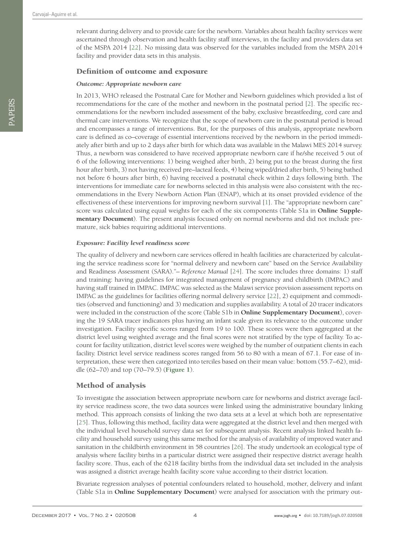relevant during delivery and to provide care for the newborn. Variables about health facility services were ascertained through observation and health facility staff interviews, in the facility and providers data set of the MSPA 2014 [[22\]](#page-10-14). No missing data was observed for the variables included from the MSPA 2014 facility and provider data sets in this analysis.

#### Definition of outcome and exposure

#### *Outcome: Appropriate newborn care*

In 2013, WHO released the Postnatal Care for Mother and Newborn guidelines which provided a list of recommendations for the care of the mother and newborn in the postnatal period [[2](#page-9-6)]. The specific recommendations for the newborn included assessment of the baby, exclusive breastfeeding, cord care and thermal care interventions. We recognize that the scope of newborn care in the postnatal period is broad and encompasses a range of interventions. But, for the purposes of this analysis, appropriate newborn care is defined as co–coverage of essential interventions received by the newborn in the period immediately after birth and up to 2 days after birth for which data was available in the Malawi MES 2014 survey. Thus, a newborn was considered to have received appropriate newborn care if he/she received 5 out of 6 of the following interventions: 1) being weighed after birth, 2) being put to the breast during the first hour after birth, 3) not having received pre–lacteal feeds, 4) being wiped/dried after birth, 5) being bathed not before 6 hours after birth, 6) having received a postnatal check within 2 days following birth. The interventions for immediate care for newborns selected in this analysis were also consistent with the recommendations in the Every Newborn Action Plan (ENAP), which at its onset provided evidence of the effectiveness of these interventions for improving newborn survival [[1](#page-9-0)]. The "appropriate newborn care" score was calculated using equal weights for each of the six components (Table S1a in **Online Supplementary Document**). The present analysis focused only on normal newborns and did not include premature, sick babies requiring additional interventions.

#### *Exposure: Facility level readiness score*

The quality of delivery and newborn care services offered in health facilities are characterized by calculating the service readiness score for "normal delivery and newborn care" based on the Service Availability and Readiness Assessment (SARA)."- Reference Manual [[24](#page-10-16)]. The score includes three domains: 1) staff and training: having guidelines for integrated management of pregnancy and childbirth (IMPAC) and having staff trained in IMPAC. IMPAC was selected as the Malawi service provision assessment reports on IMPAC as the guidelines for facilities offering normal delivery service [[22](#page-10-14)], 2) equipment and commodities (observed and functioning) and 3) medication and supplies availability. A total of 20 tracer indicators were included in the construction of the score (Table S1b in **Online Supplementary Document**), covering the 19 SARA tracer indicators plus having an infant scale given its relevance to the outcome under investigation. Facility specific scores ranged from 19 to 100. These scores were then aggregated at the district level using weighted average and the final scores were not stratified by the type of facility. To account for facility utilization, district level scores were weighed by the number of outpatient clients in each facility. District level service readiness scores ranged from 56 to 80 with a mean of 67.1. For ease of interpretation, these were then categorized into terciles based on their mean value: bottom (55.7–62), middle (62–70) and top (70–79.5) (**[Figure 1](#page-4-0)**).

### Method of analysis

To investigate the association between appropriate newborn care for newborns and district average facility service readiness score, the two data sources were linked using the administrative boundary linking method. This approach consists of linking the two data sets at a level at which both are representative [[25](#page-10-17)]. Thus, following this method, facility data were aggregated at the district level and then merged with the individual level household survey data set for subsequent analysis. Recent analysis linked health facility and household survey using this same method for the analysis of availability of improved water and sanitation in the childbirth environment in 58 countries [[26\]](#page-10-18). The study undertook an ecological type of analysis where facility births in a particular district were assigned their respective district average health facility score. Thus, each of the 6218 facility births from the individual data set included in the analysis was assigned a district average health facility score value according to their district location.

Bivariate regression analyses of potential confounders related to household, mother, delivery and infant (Table S1a in **Online Supplementary Document**) were analysed for association with the primary out-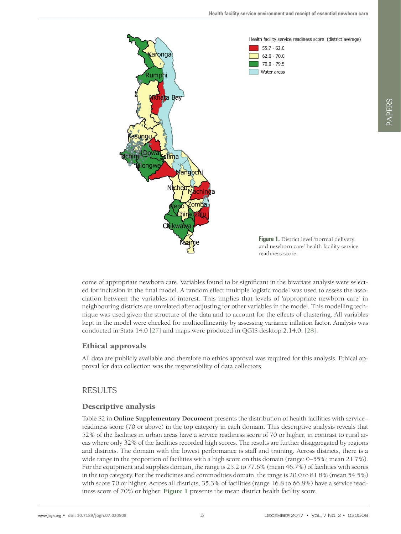

<span id="page-4-0"></span>

come of appropriate newborn care. Variables found to be significant in the bivariate analysis were selected for inclusion in the final model. A random effect multiple logistic model was used to assess the association between the variables of interest. This implies that levels of 'appropriate newborn care' in neighbouring districts are unrelated after adjusting for other variables in the model. This modelling technique was used given the structure of the data and to account for the effects of clustering. All variables kept in the model were checked for multicollinearity by assessing variance inflation factor. Analysis was conducted in Stata 14.0 [[27](#page-10-19)] and maps were produced in QGIS desktop 2.14.0. [[28\]](#page-10-20).

# Ethical approvals

All data are publicly available and therefore no ethics approval was required for this analysis. Ethical approval for data collection was the responsibility of data collectors.

# RESULTS

# Descriptive analysis

Table S2 in **Online Supplementary Document** presents the distribution of health facilities with service– readiness score (70 or above) in the top category in each domain. This descriptive analysis reveals that 52% of the facilities in urban areas have a service readiness score of 70 or higher, in contrast to rural areas where only 32% of the facilities recorded high scores. The results are further disaggregated by regions and districts. The domain with the lowest performance is staff and training. Across districts, there is a wide range in the proportion of facilities with a high score on this domain (range: 0–55%; mean 21.7%). For the equipment and supplies domain, the range is 25.2 to 77.6% (mean 46.7%) of facilities with scores in the top category. For the medicines and commodities domain, the range is 20.0 to 81.8% (mean 54.5%) with score 70 or higher. Across all districts, 35.3% of facilities (range 16.8 to 66.8%) have a service readiness score of 70% or higher. **[Figure 1](#page-4-0)** presents the mean district health facility score.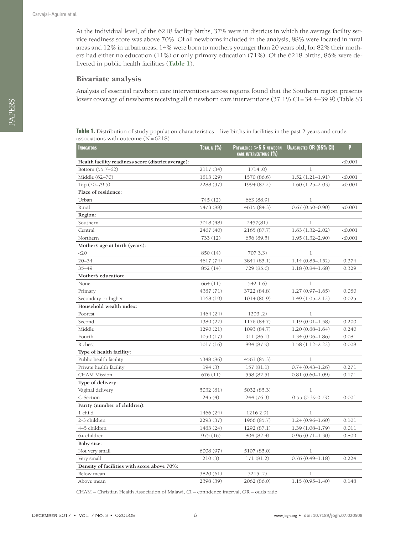PAPERS

PAPERS

At the individual level, of the 6218 facility births, 37% were in districts in which the average facility service readiness score was above 70%. Of all newborns included in the analysis, 88% were located in rural areas and 12% in urban areas, 14% were born to mothers younger than 20 years old, for 82% their mothers had either no education (11%) or only primary education (71%). Of the 6218 births, 86% were delivered in public health facilities (**[Table 1](#page-5-0)**).

#### Bivariate analysis

Analysis of essential newborn care interventions across regions found that the Southern region presents lower coverage of newborns receiving all 6 newborn care interventions (37.1% CI=34.4–39.9) (Table S3

<span id="page-5-0"></span>**Table 1.** Distribution of study population characteristics – live births in facilities in the past 2 years and crude associations with outcome  $(N=6218)$ 

| <b>INDICATORS</b>                                   | TOTAL N $(%)$ | <b>PREVALENCE <math>&gt;</math> 5 5 NEWBORN</b><br>CARE INTERVENTIONS (%) | <b>UNADJUSTED OR (95% CI)</b> | P       |
|-----------------------------------------------------|---------------|---------------------------------------------------------------------------|-------------------------------|---------|
| Health facility readiness score (district average): |               |                                                                           |                               | < 0.001 |
| Bottom (55.7-62)                                    | 2117 (34)     | 1714.0)                                                                   | $\mathbf{1}$                  |         |
| Middle (62-70)                                      | 1813 (29)     | 1570 (86.6)                                                               | $1.52(1.21 - 1.91)$           | < 0.001 |
| Top $(70-79.5)$                                     | 2288 (37)     | 1994 (87.2)                                                               | $1.60(1.25 - 2.03)$           | < 0.001 |
| Place of residence:                                 |               |                                                                           |                               |         |
| Urban                                               | 745 (12)      | 663 (88.9)                                                                | $\mathbf{1}$                  |         |
| Rural                                               | 5473 (88)     | 4615 (84.3)                                                               | $0.67(0.50 - 0.90)$           | < 0.001 |
| Region:                                             |               |                                                                           |                               |         |
| Southern                                            | 3018 (48)     | 2457(81)                                                                  | $\mathbf{1}$                  |         |
| Central                                             | 2467 (40)     | 2165 (87.7)                                                               | $1.63(1.32 - 2.02)$           | < 0.001 |
| Northern                                            | 733(12)       | 656(89.5)                                                                 | $1.95(1.32 - 2.90)$           | < 0.001 |
| Mother's age at birth (years):                      |               |                                                                           |                               |         |
| <20                                                 | 850 (14)      | 707 3.3)                                                                  | $\mathbf{1}$                  |         |
| $20 - 34$                                           | 4617 (74)     | 3841 (85.1)                                                               | $1.14(0.85 - .152)$           | 0.374   |
| $35 - 49$                                           | 852 (14)      | 729 (85.6)                                                                | $1.18(0.84 - 1.68)$           | 0.329   |
| Mother's education:                                 |               |                                                                           |                               |         |
| None                                                | 664(11)       | 542 1.6)                                                                  | $\mathbf{1}$                  |         |
| Primary                                             | 4387 (71)     | 3722 (84.8)                                                               | $1.27(0.97 - 1.65)$           | 0.080   |
| Secondary or higher                                 | 1168 (19)     | 1014 (86.9)                                                               | $1.49(1.05 - 2.12)$           | 0.025   |
| Household wealth index:                             |               |                                                                           |                               |         |
| Poorest                                             | 1464 (24)     | 1203.2)                                                                   | 1                             |         |
| Second                                              | 1389 (22)     | 1176 (84.7)                                                               | $1.19(0.91 - 1.58)$           | 0.200   |
| Middle                                              | 1290 (21)     | 1093 (84.7)                                                               | $1.20(0.88 - 1.64)$           | 0.240   |
| Fourth                                              | 1059(17)      | 911 (86.1)                                                                | $1.34(0.96 - 1.86)$           | 0.081   |
| Richest                                             | 1017(16)      | 894 (87.9)                                                                | $1.58(1.12 - 2.22)$           | 0.008   |
| Type of health facility:                            |               |                                                                           |                               |         |
| Public health facility                              | 5348 (86)     | 4563 (85.3)                                                               | 1                             |         |
| Private health facility                             | 194(3)        | 157(81.1)                                                                 | $0.74(0.43 - 1.26)$           | 0.271   |
| <b>CHAM Mission</b>                                 | 676(11)       | 558 (82.5)                                                                | $0.81(0.60 - 1.09)$           | 0.171   |
| Type of delivery:                                   |               |                                                                           |                               |         |
| Vaginal delivery                                    | 5032 (81)     | 5032 (85.3)                                                               | $\mathbf{1}$                  |         |
| C-Section                                           | 245(4)        | 244 (76.3)                                                                | $0.55(0.39 - 0.79)$           | 0.001   |
| Parity (number of children):                        |               |                                                                           |                               |         |
| 1 child                                             | 1466 (24)     | 1216 2.9)                                                                 | $\mathbf{1}$                  |         |
| 2-3 children                                        | 2293 (37)     | 1966 (85.7)                                                               | $1.24(0.96 - 1.60)$           | 0.101   |
| 4-5 children                                        | 1483 (24)     | 1292 (87.1)                                                               | $1.39(1.08 - 1.79)$           | 0.011   |
| 6+ children                                         | 975(16)       | 804 (82.4)                                                                | $0.96(0.71 - 1.30)$           | 0.809   |
| Baby size:                                          |               |                                                                           |                               |         |
| Not very small                                      | 6008 (97)     | 5107 (85.0)                                                               | 1                             |         |
| Very small                                          | 210(3)        | 171 (81.2)                                                                | $0.76(0.49 - 1.18)$           | 0.224   |
| Density of facilities with score above 70%:         |               |                                                                           |                               |         |
| Below mean                                          | 3820 (61)     | 3215.2)                                                                   | 1                             |         |
| Above mean                                          | 2398 (39)     | 2062 (86.0)                                                               | $1.15(0.95 - 1.40)$           | 0.148   |

CHAM – Christian Health Association of Malawi, CI – confidence interval, OR – odds ratio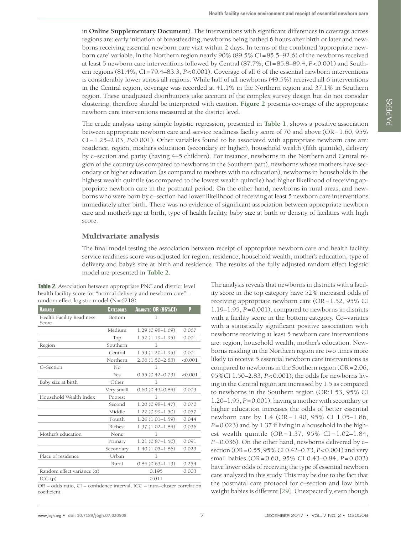in **Online Supplementary Document**). The interventions with significant differences in coverage across regions are: early initiation of breastfeeding, newborns being bathed 6 hours after birth or later and newborns receiving essential newborn care visit within 2 days. In terms of the combined 'appropriate newborn care' variable, in the Northern region nearly 90% (89.5% CI=85.5–92.6) of the newborns received at least 5 newborn care interventions followed by Central (87.7%, CI=85.8–89.4, *P*<0.001) and Southern regions (81.4%, CI=79.4–83.3, *P*<0.001). Coverage of all 6 of the essential newborn interventions is considerably lower across all regions. While half of all newborns (49.5%) received all 6 interventions in the Central region, coverage was recorded at 41.1% in the Northern region and 37.1% in Southern region. These unadjusted distributions take account of the complex survey design but do not consider clustering, therefore should be interpreted with caution. **[Figure 2](#page-7-0)** presents coverage of the appropriate newborn care interventions measured at the district level.

The crude analysis using simple logistic regression, presented in **[Table 1](#page-5-0)**, shows a positive association between appropriate newborn care and service readiness facility score of 70 and above (OR=1.60, 95% CI=1.25–2.03, *P*<0.001). Other variables found to be associated with appropriate newborn care are: residence, region, mother's education (secondary or higher), household wealth (fifth quintile), delivery by c–section and parity (having 4–5 children). For instance, newborns in the Northern and Central region of the country (as compared to newborns in the Southern part), newborns whose mothers have secondary or higher education (as compared to mothers with no education), newborns in households in the highest wealth quintile (as compared to the lowest wealth quintile) had higher likelihood of receiving appropriate newborn care in the postnatal period. On the other hand, newborns in rural areas, and newborns who were born by c–section had lower likelihood of receiving at least 5 newborn care interventions immediately after birth. There was no evidence of significant association between appropriate newborn care and mother's age at birth, type of health facility, baby size at birth or density of facilities with high score.

#### Multivariate analysis

The final model testing the association between receipt of appropriate newborn care and health facility service readiness score was adjusted for region, residence, household wealth, mother's education, type of delivery and baby's size at birth and residence. The results of the fully adjusted random effect logistic model are presented in **[Table 2](#page-6-0)**.

<span id="page-6-0"></span>**Table 2.** Association between appropriate PNC and district level health facility score for "normal delivery and newborn care" – random effect logistic model (N=6218)

| <b>VARIABLE</b>                    | <b>CATEGORIES</b> | <b>ADJUSTED OR (95%CI)</b> | P       |
|------------------------------------|-------------------|----------------------------|---------|
| Health Facility Readiness<br>Score | Bottom            | 1                          |         |
|                                    | Medium            | $1.29(0.98 - 1.69)$        | 0.067   |
|                                    | Top               | $1.52(1.19 - 1.95)$        | 0.001   |
| Region                             | Southern          | 1                          |         |
|                                    | Central           | $1.53(1.20 - 1.95)$        | 0.001   |
|                                    | Northern          | $2.06(1.50 - 2.83)$        | < 0.001 |
| C-Section                          | No                | 1                          |         |
|                                    | Yes               | $0.55(0.42 - 0.73)$        | < 0.001 |
| Baby size at birth                 | Other             | 1                          |         |
|                                    | Very small        | $0.60(0.43 - 0.84)$        | 0.003   |
| Household Wealth Index             | Poorest           | 1                          |         |
|                                    | Second            | $1.20(0.98 - 1.47)$        | 0.070   |
|                                    | Middle            | $1.22(0.99 - 1.50)$        | 0.057   |
|                                    | Fourth            | $1.26(1.01 - 1.59)$        | 0.044   |
|                                    | Richest           | $1.37(1.02 - 1.84)$        | 0.036   |
| Mother's education                 | None              | 1                          |         |
|                                    | Primary           | $1.21(0.87 - 1.50)$        | 0.091   |
|                                    | Secondary         | $1.40(1.05 - 1.86)$        | 0.023   |
| Place of residence                 | Urban             | 1                          |         |
|                                    | Rural             | $0.84(0.63 - 1.13)$        | 0.254   |
| Random effect variance $(\sigma)$  |                   | 0.195                      | 0.003   |
| ICC $(\rho)$                       |                   | 0.011                      |         |

OR – odds ratio, CI – confidence interval, ICC – intra–cluster correlation coefficient

The analysis reveals that newborns in districts with a facility score in the top category have 52% increased odds of receiving appropriate newborn care (OR=1.52, 95% CI 1.19–1.95, *P*=0.001), compared to newborns in districts with a facility score in the bottom category. Co–variates with a statistically significant positive association with newborns receiving at least 5 newborn care interventions are: region, household wealth, mother's education. Newborns residing in the Northern region are two times more likely to receive 5 essential newborn care interventions as compared to newborns in the Southern region (OR=2.06, 95%CI 1.50–2.83, *P*<0.001); the odds for newborns living in the Central region are increased by 1.5 as compared to newborns in the Southern region (OR:1.53, 95% CI 1.20–1.95, *P*=0.001), having a mother with secondary or higher education increases the odds of better essential newborn care by 1.4 (OR= 1.40, 95% CI 1.05–1.86, *P*=0.023) and by 1.37 if living in a household in the highest wealth quintile  $(OR = 1.37, 95\% \text{ CI} = 1.02 - 1.84,$ *P*=0.036). On the other hand, newborns delivered by c– section (OR=0.55, 95% CI 0.42–0.73, *P*<0.001) and very small babies (OR=0.60, 95% CI 0.43–0.84, *P*=0.003) have lower odds of receiving the type of essential newborn care analyzed in this study. This may be due to the fact that the postnatal care protocol for c–section and low birth weight babies is different [[29](#page-10-21)]. Unexpectedly, even though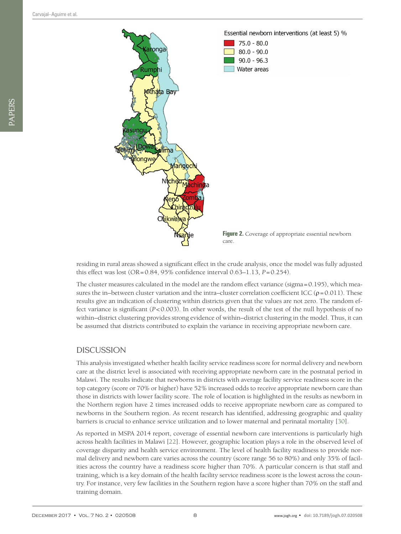<span id="page-7-0"></span>

residing in rural areas showed a significant effect in the crude analysis, once the model was fully adjusted this effect was lost (OR=0.84, 95% confidence interval 0.63–1.13, *P*=0.254).

The cluster measures calculated in the model are the random effect variance (sigma=0.195), which measures the in–between cluster variation and the intra–cluster correlation coefficient ICC ( $\rho$ =0.011). These results give an indication of clustering within districts given that the values are not zero. The random effect variance is significant  $(P<0.003)$ . In other words, the result of the test of the null hypothesis of no within–district clustering provides strong evidence of within–district clustering in the model. Thus, it can be assumed that districts contributed to explain the variance in receiving appropriate newborn care.

# **DISCUSSION**

This analysis investigated whether health facility service readiness score for normal delivery and newborn care at the district level is associated with receiving appropriate newborn care in the postnatal period in Malawi. The results indicate that newborns in districts with average facility service readiness score in the top category (score or 70% or higher) have 52% increased odds to receive appropriate newborn care than those in districts with lower facility score. The role of location is highlighted in the results as newborn in the Northern region have 2 times increased odds to receive appropriate newborn care as compared to newborns in the Southern region. As recent research has identified, addressing geographic and quality barriers is crucial to enhance service utilization and to lower maternal and perinatal mortality [[30](#page-10-22)].

As reported in MSPA 2014 report, coverage of essential newborn care interventions is particularly high across health facilities in Malawi [[22\]](#page-10-14). However, geographic location plays a role in the observed level of coverage disparity and health service environment. The level of health facility readiness to provide normal delivery and newborn care varies across the country (score range 56 to 80%) and only 35% of facilities across the country have a readiness score higher than 70%. A particular concern is that staff and training, which is a key domain of the health facility service readiness score is the lowest across the country. For instance, very few facilities in the Southern region have a score higher than 70% on the staff and training domain.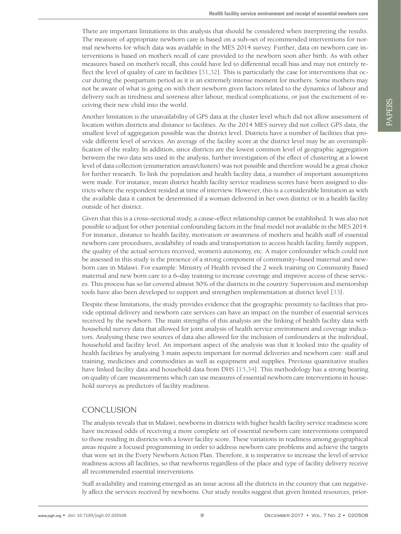There are important limitations in this analysis that should be considered when interpreting the results. The measure of appropriate newborn care is based on a sub–set of recommended interventions for normal newborns for which data was available in the MES 2014 survey. Further, data on newborn care interventions is based on mother's recall of care provided to the newborn soon after birth. As with other measures based on mother's recall, this could have led to differential recall bias and may not entirely reflect the level of quality of care in facilities [\[31](#page-10-23),[32](#page-10-24)]. This is particularly the case for interventions that occur during the postpartum period as it is an extremely intense moment for mothers. Some mothers may not be aware of what is going on with their newborn given factors related to the dynamics of labour and delivery such as tiredness and soreness after labour, medical complications, or just the excitement of receiving their new child into the world.

Another limitation is the unavailability of GPS data at the cluster level which did not allow assessment of location within districts and distance to facilities. As the 2014 MES survey did not collect GPS data, the smallest level of aggregation possible was the district level. Districts have a number of facilities that provide different level of services. An average of the facility score at the district level may be an oversimplification of the reality. In addition, since districts are the lowest common level of geographic aggregation between the two data sets used in the analysis, further investigation of the effect of clustering at a lowest level of data collection (enumeration areas/clusters) was not possible and therefore would be a great choice for further research. To link the population and health facility data, a number of important assumptions were made. For instance, mean district health facility service readiness scores have been assigned to districts where the respondent resided at time of interview. However, this is a considerable limitation as with the available data it cannot be determined if a woman delivered in her own district or in a health facility outside of her district.

Given that this is a cross–sectional study, a cause–effect relationship cannot be established. It was also not possible to adjust for other potential confounding factors in the final model not available in the MES 2014. For instance, distance to health facility, motivation or awareness of mothers and health staff of essential newborn care procedures, availability of roads and transportation to access health facility, family support, the quality of the actual services received, women's autonomy, etc. A major confounder which could not be assessed in this study is the presence of a strong component of community–based maternal and newborn care in Malawi. For example: Ministry of Health revised the 2 week training on Community Based maternal and new born care to a 6–day training to increase coverage and improve access of these services. This process has so far covered almost 50% of the districts in the country. Supervision and mentorship tools have also been developed to support and strengthen implementation at district level [[33](#page-10-25)].

Despite these limitations, the study provides evidence that the geographic proximity to facilities that provide optimal delivery and newborn care services can have an impact on the number of essential services received by the newborn. The main strengths of this analysis are the linking of health facility data with household survey data that allowed for joint analysis of health service environment and coverage indicators. Analysing these two sources of data also allowed for the inclusion of confounders at the individual, household and facility level. An important aspect of the analysis was that it looked into the quality of health facilities by analysing 3 main aspects important for normal deliveries and newborn care: staff and training, medicines and commodities as well as equipment and supplies. Previous quantitative studies have linked facility data and household data from DHS [\[15](#page-10-7),[34](#page-10-26)]. This methodology has a strong bearing on quality of care measurements which can use measures of essential newborn care interventions in household surveys as predictors of facility readiness.

# **CONCLUSION**

The analysis reveals that in Malawi, newborns in districts with higher health facility service readiness score have increased odds of receiving a more complete set of essential newborn care interventions compared to those residing in districts with a lower facility score. These variations in readiness among geographical areas require a focused programming in order to address newborn care problems and achieve the targets that were set in the Every Newborn Action Plan. Therefore, it is imperative to increase the level of service readiness across all facilities, so that newborns regardless of the place and type of facility delivery receive all recommended essential interventions.

Staff availability and training emerged as an issue across all the districts in the country that can negatively affect the services received by newborns. Our study results suggest that given limited resources, prior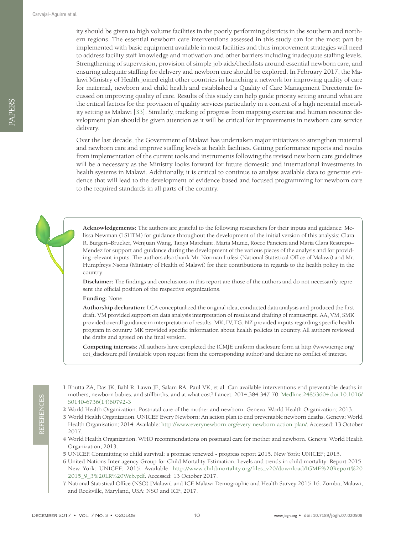ity should be given to high volume facilities in the poorly performing districts in the southern and northern regions. The essential newborn care interventions assessed in this study can for the most part be implemented with basic equipment available in most facilities and thus improvement strategies will need to address facility staff knowledge and motivation and other barriers including inadequate staffing levels. Strengthening of supervision, provision of simple job aids/checklists around essential newborn care, and ensuring adequate staffing for delivery and newborn care should be explored. In February 2017, the Malawi Ministry of Health joined eight other countries in launching a network for improving quality of care for maternal, newborn and child health and established a Quality of Care Management Directorate focussed on improving quality of care. Results of this study can help guide priority setting around what are the critical factors for the provision of quality services particularly in a context of a high neonatal mortality setting as Malawi [[33](#page-10-25)]. Similarly, tracking of progress from mapping exercise and human resource development plan should be given attention as it will be critical for improvements in newborn care service delivery.

Over the last decade, the Government of Malawi has undertaken major initiatives to strengthen maternal and newborn care and improve staffing levels at health facilities. Getting performance reports and results from implementation of the current tools and instruments following the revised new born care guidelines will be a necessary as the Ministry looks forward for future domestic and international investments in health systems in Malawi. Additionally, it is critical to continue to analyse available data to generate evidence that will lead to the development of evidence based and focused programming for newborn care to the required standards in all parts of the country.

**Acknowledgements:** The authors are grateful to the following researchers for their inputs and guidance: Melissa Newman (LSHTM) for guidance throughout the development of the initial version of this analysis; Clara R. Burgert–Brucker, Wenjuan Wang, Tanya Marchant, Maria Muniz, Rocco Panciera and Maria Clara Restrepo– Mendez for support and guidance during the development of the various pieces of the analysis and for providing relevant inputs. The authors also thank Mr. Norman Lufesi (National Statistical Office of Malawi) and Mr. Humpfreys Nsona (Ministry of Health of Malawi) for their contributions in regards to the health policy in the country.

**Disclaimer:** The findings and conclusions in this report are those of the authors and do not necessarily represent the official position of the respective organizations.

**Funding:** None.

**Authorship declaration:** LCA conceptualized the original idea, conducted data analysis and produced the first draft. VM provided support on data analysis interpretation of results and drafting of manuscript. AA, VM, SMK provided overall guidance in interpretation of results. MK, LV, TG, NZ provided inputs regarding specific health program in country. MK provided specific information about health policies in country. All authors reviewed the drafts and agreed on the final version.

**Competing interests:** All authors have completed the ICMJE uniform disclosure form at http://www.icmje.org/ coi\_disclosure.pdf (available upon request from the corresponding author) and declare no conflict of interest.

- <span id="page-9-0"></span> 1 Bhutta ZA, Das JK, Bahl R, Lawn JE, Salam RA, Paul VK, et al. Can available interventions end preventable deaths in mothers, newborn babies, and stillbirths, and at what cost? Lancet. 2014;384:347-70. [Medline:24853604](https://www.ncbi.nlm.nih.gov/entrez/query.fcgi?cmd=Retrieve&db=PubMed&list_uids=24853604&dopt=Abstract) [doi:10.1016/](https://doi.org/10.1016/S0140-6736(14)60792-3) [S0140-6736\(14\)60792-3](https://doi.org/10.1016/S0140-6736(14)60792-3)
- <span id="page-9-6"></span>2 World Health Organization. Postnatal care of the mother and newborn. Geneva: World Health Organization; 2013.
- <span id="page-9-1"></span> 3 World Health Organization. UNICEF. Every Newborn: An action plan to end preventable newborn deaths. Geneva: World Health Organisation; 2014. Available: <http://www.everynewborn.org/every-newborn-action-plan/>. Accessed: 13 October 2017.
- <span id="page-9-2"></span> 4 World Health Organization. WHO recommendations on postnatal care for mother and newborn. Geneva: World Health Organization; 2013.
- <span id="page-9-3"></span>5 UNICEF. Committing to child survival: a promise renewed - progress report 2015. New York: UNICEF; 2015.
- <span id="page-9-4"></span> 6 United Nations Inter-agency Group for Child Mortality Estimation. Levels and trends in child mortality: Report 2015. New York: UNICEF; 2015. Available: [http://www.childmortality.org/files\\_v20/download/IGME%20Report%20](http://www.childmortality.org/files_v20/download/IGME Report 2015_9_3 LR Web.pdf) [2015\\_9\\_3%20LR%20Web.pdf](http://www.childmortality.org/files_v20/download/IGME Report 2015_9_3 LR Web.pdf). Accessed: 13 October 2017.
- <span id="page-9-5"></span> 7 National Statistical Office (NSO) [Malawi] and ICF. Malawi Demographic and Health Survey 2015-16. Zomba, Malawi, and Rockville, Maryland, USA: NSO and ICF; 2017.